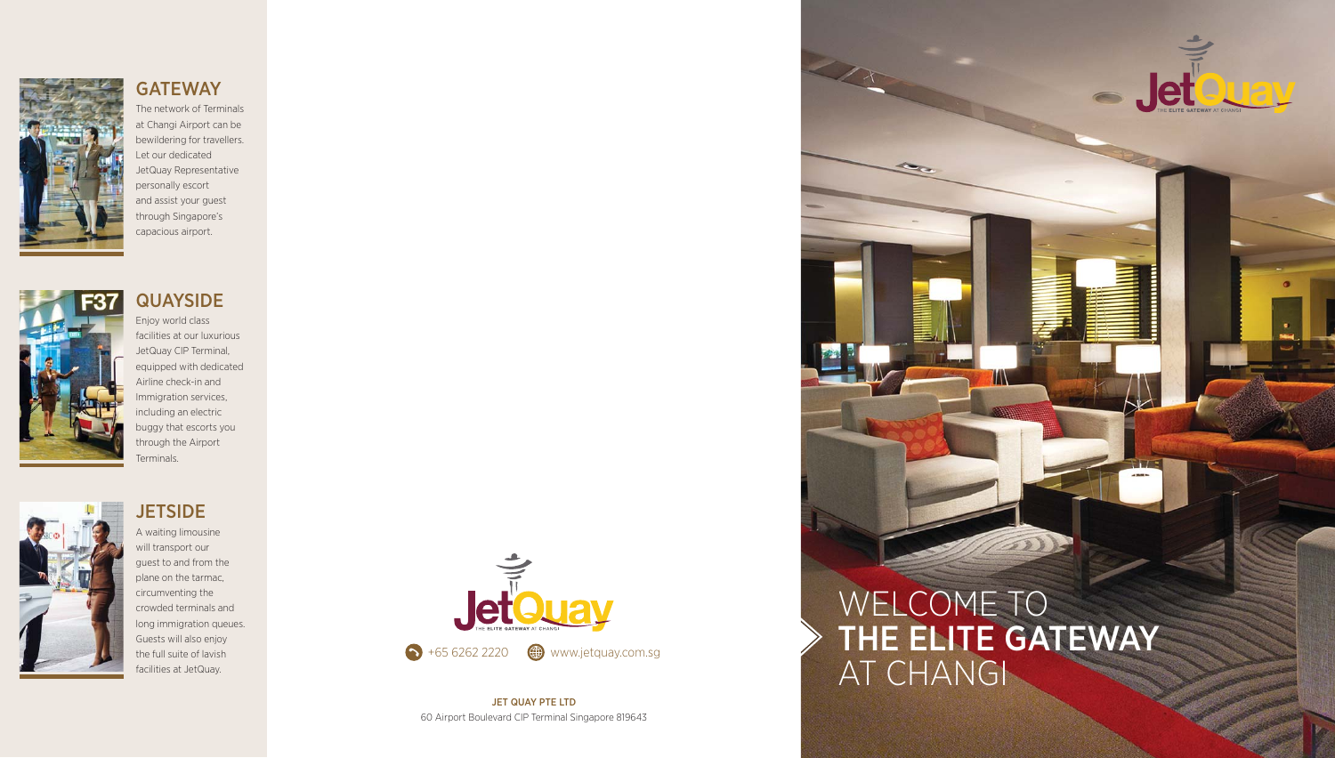

### **GATEWAY**

The network of Terminals at Changi Airport can be bewildering for travellers. Let our dedicated JetQuay Representative personally escort and assist your guest through Singapore's capacious airport.



## Enjoy world class

facilities at our luxurious JetQuay CIP Terminal, equipped with dedicated Airline check-in and Immigration services, including an electric buggy that escorts you through the Airport Terminals.



## **JETSIDE**

A waiting limousine will transport our guest to and from the plane on the tarmac, circumventing the crowded terminals and long immigration queues. Guests will also enjoy the full suite of lavish facilities at JetQuay.



JET QUAY PTE LTD 60 Airport Boulevard CIP Terminal Singapore 819643

# WELCOME TO THE ELITE GATEWAY AT CHANGI

Jetem of ELLEY